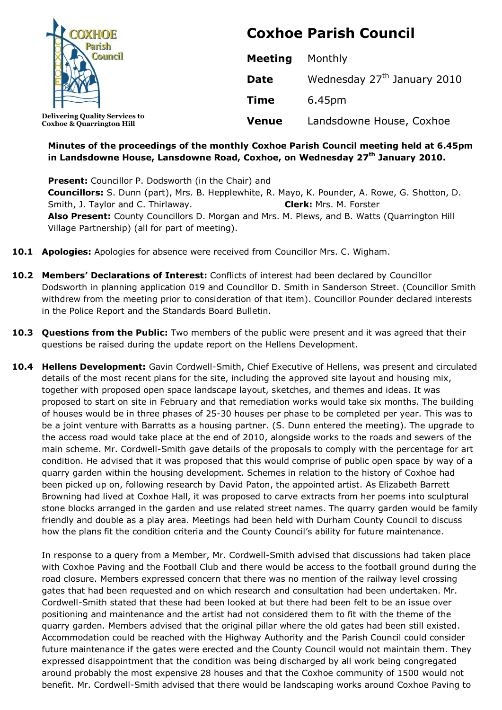

**Coxhoe & Quarrington Hill**

# **Coxhoe Parish Council**

| <b>Meeting</b> | Monthly                                 |
|----------------|-----------------------------------------|
| Date           | Wednesday 27 <sup>th</sup> January 2010 |
| <b>Time</b>    | 6.45pm                                  |
| <b>Venue</b>   | Landsdowne House, Coxhoe                |

# **Minutes of the proceedings of the monthly Coxhoe Parish Council meeting held at 6.45pm in Landsdowne House, Lansdowne Road, Coxhoe, on Wednesday 27th January 2010.**

**Present:** Councillor P. Dodsworth (in the Chair) and **Councillors:** S. Dunn (part), Mrs. B. Hepplewhite, R. Mayo, K. Pounder, A. Rowe, G. Shotton, D. Smith, J. Taylor and C. Thirlaway. **Clerk:** Mrs. M. Forster **Also Present:** County Councillors D. Morgan and Mrs. M. Plews, and B. Watts (Quarrington Hill Village Partnership) (all for part of meeting).

- **10.1 Apologies:** Apologies for absence were received from Councillor Mrs. C. Wigham.
- **10.2 Members' Declarations of Interest:** Conflicts of interest had been declared by Councillor Dodsworth in planning application 019 and Councillor D. Smith in Sanderson Street. (Councillor Smith withdrew from the meeting prior to consideration of that item). Councillor Pounder declared interests in the Police Report and the Standards Board Bulletin.
- **10.3 Questions from the Public:** Two members of the public were present and it was agreed that their questions be raised during the update report on the Hellens Development.
- **10.4 Hellens Development:** Gavin Cordwell-Smith, Chief Executive of Hellens, was present and circulated details of the most recent plans for the site, including the approved site layout and housing mix, together with proposed open space landscape layout, sketches, and themes and ideas. It was proposed to start on site in February and that remediation works would take six months. The building of houses would be in three phases of 25-30 houses per phase to be completed per year. This was to be a joint venture with Barratts as a housing partner. (S. Dunn entered the meeting). The upgrade to the access road would take place at the end of 2010, alongside works to the roads and sewers of the main scheme. Mr. Cordwell-Smith gave details of the proposals to comply with the percentage for art condition. He advised that it was proposed that this would comprise of public open space by way of a quarry garden within the housing development. Schemes in relation to the history of Coxhoe had been picked up on, following research by David Paton, the appointed artist. As Elizabeth Barrett Browning had lived at Coxhoe Hall, it was proposed to carve extracts from her poems into sculptural stone blocks arranged in the garden and use related street names. The quarry garden would be family friendly and double as a play area. Meetings had been held with Durham County Council to discuss how the plans fit the condition criteria and the County Council's ability for future maintenance.

In response to a query from a Member, Mr. Cordwell-Smith advised that discussions had taken place with Coxhoe Paving and the Football Club and there would be access to the football ground during the road closure. Members expressed concern that there was no mention of the railway level crossing gates that had been requested and on which research and consultation had been undertaken. Mr. Cordwell-Smith stated that these had been looked at but there had been felt to be an issue over positioning and maintenance and the artist had not considered them to fit with the theme of the quarry garden. Members advised that the original pillar where the old gates had been still existed. Accommodation could be reached with the Highway Authority and the Parish Council could consider future maintenance if the gates were erected and the County Council would not maintain them. They expressed disappointment that the condition was being discharged by all work being congregated around probably the most expensive 28 houses and that the Coxhoe community of 1500 would not benefit. Mr. Cordwell-Smith advised that there would be landscaping works around Coxhoe Paving to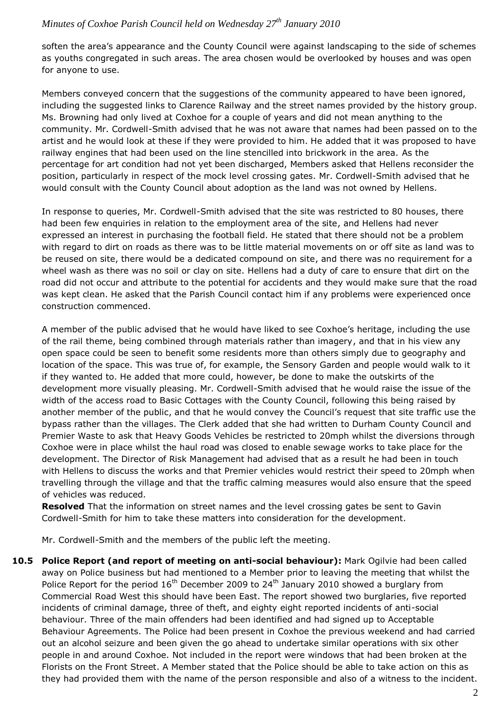soften the area's appearance and the County Council were against landscaping to the side of schemes as youths congregated in such areas. The area chosen would be overlooked by houses and was open for anyone to use.

Members conveyed concern that the suggestions of the community appeared to have been ignored, including the suggested links to Clarence Railway and the street names provided by the history group. Ms. Browning had only lived at Coxhoe for a couple of years and did not mean anything to the community. Mr. Cordwell-Smith advised that he was not aware that names had been passed on to the artist and he would look at these if they were provided to him. He added that it was proposed to have railway engines that had been used on the line stencilled into brickwork in the area. As the percentage for art condition had not yet been discharged, Members asked that Hellens reconsider the position, particularly in respect of the mock level crossing gates. Mr. Cordwell-Smith advised that he would consult with the County Council about adoption as the land was not owned by Hellens.

In response to queries, Mr. Cordwell-Smith advised that the site was restricted to 80 houses, there had been few enquiries in relation to the employment area of the site, and Hellens had never expressed an interest in purchasing the football field. He stated that there should not be a problem with regard to dirt on roads as there was to be little material movements on or off site as land was to be reused on site, there would be a dedicated compound on site, and there was no requirement for a wheel wash as there was no soil or clay on site. Hellens had a duty of care to ensure that dirt on the road did not occur and attribute to the potential for accidents and they would make sure that the road was kept clean. He asked that the Parish Council contact him if any problems were experienced once construction commenced.

A member of the public advised that he would have liked to see Coxhoe's heritage, including the use of the rail theme, being combined through materials rather than imagery, and that in his view any open space could be seen to benefit some residents more than others simply due to geography and location of the space. This was true of, for example, the Sensory Garden and people would walk to it if they wanted to. He added that more could, however, be done to make the outskirts of the development more visually pleasing. Mr. Cordwell-Smith advised that he would raise the issue of the width of the access road to Basic Cottages with the County Council, following this being raised by another member of the public, and that he would convey the Council's request that site traffic use the bypass rather than the villages. The Clerk added that she had written to Durham County Council and Premier Waste to ask that Heavy Goods Vehicles be restricted to 20mph whilst the diversions through Coxhoe were in place whilst the haul road was closed to enable sewage works to take place for the development. The Director of Risk Management had advised that as a result he had been in touch with Hellens to discuss the works and that Premier vehicles would restrict their speed to 20mph when travelling through the village and that the traffic calming measures would also ensure that the speed of vehicles was reduced.

**Resolved** That the information on street names and the level crossing gates be sent to Gavin Cordwell-Smith for him to take these matters into consideration for the development.

Mr. Cordwell-Smith and the members of the public left the meeting.

**10.5 Police Report (and report of meeting on anti-social behaviour):** Mark Ogilvie had been called away on Police business but had mentioned to a Member prior to leaving the meeting that whilst the Police Report for the period  $16<sup>th</sup>$  December 2009 to 24<sup>th</sup> January 2010 showed a burglary from Commercial Road West this should have been East. The report showed two burglaries, five reported incidents of criminal damage, three of theft, and eighty eight reported incidents of anti-social behaviour. Three of the main offenders had been identified and had signed up to Acceptable Behaviour Agreements. The Police had been present in Coxhoe the previous weekend and had carried out an alcohol seizure and been given the go ahead to undertake similar operations with six other people in and around Coxhoe. Not included in the report were windows that had been broken at the Florists on the Front Street. A Member stated that the Police should be able to take action on this as they had provided them with the name of the person responsible and also of a witness to the incident.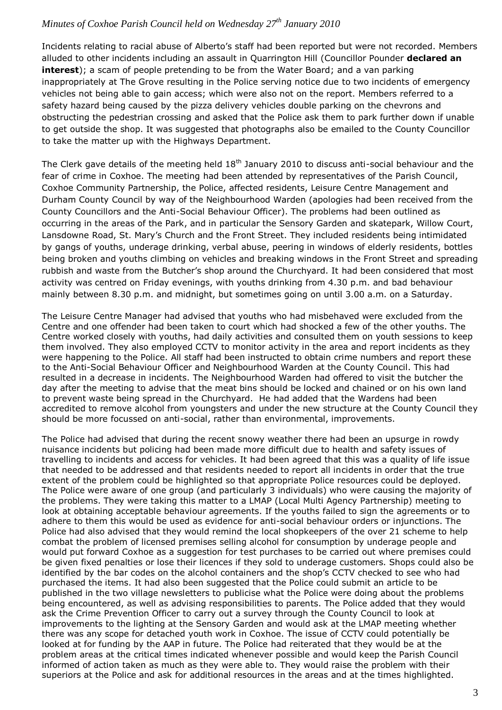Incidents relating to racial abuse of Alberto's staff had been reported but were not recorded. Members alluded to other incidents including an assault in Quarrington Hill (Councillor Pounder **declared an interest**); a scam of people pretending to be from the Water Board; and a van parking inappropriately at The Grove resulting in the Police serving notice due to two incidents of emergency vehicles not being able to gain access; which were also not on the report. Members referred to a safety hazard being caused by the pizza delivery vehicles double parking on the chevrons and obstructing the pedestrian crossing and asked that the Police ask them to park further down if unable to get outside the shop. It was suggested that photographs also be emailed to the County Councillor to take the matter up with the Highways Department.

The Clerk gave details of the meeting held  $18<sup>th</sup>$  January 2010 to discuss anti-social behaviour and the fear of crime in Coxhoe. The meeting had been attended by representatives of the Parish Council, Coxhoe Community Partnership, the Police, affected residents, Leisure Centre Management and Durham County Council by way of the Neighbourhood Warden (apologies had been received from the County Councillors and the Anti-Social Behaviour Officer). The problems had been outlined as occurring in the areas of the Park, and in particular the Sensory Garden and skatepark, Willow Court, Lansdowne Road, St. Mary's Church and the Front Street. They included residents being intimidated by gangs of youths, underage drinking, verbal abuse, peering in windows of elderly residents, bottles being broken and youths climbing on vehicles and breaking windows in the Front Street and spreading rubbish and waste from the Butcher's shop around the Churchyard. It had been considered that most activity was centred on Friday evenings, with youths drinking from 4.30 p.m. and bad behaviour mainly between 8.30 p.m. and midnight, but sometimes going on until 3.00 a.m. on a Saturday.

The Leisure Centre Manager had advised that youths who had misbehaved were excluded from the Centre and one offender had been taken to court which had shocked a few of the other youths. The Centre worked closely with youths, had daily activities and consulted them on youth sessions to keep them involved. They also employed CCTV to monitor activity in the area and report incidents as they were happening to the Police. All staff had been instructed to obtain crime numbers and report these to the Anti-Social Behaviour Officer and Neighbourhood Warden at the County Council. This had resulted in a decrease in incidents. The Neighbourhood Warden had offered to visit the butcher the day after the meeting to advise that the meat bins should be locked and chained or on his own land to prevent waste being spread in the Churchyard. He had added that the Wardens had been accredited to remove alcohol from youngsters and under the new structure at the County Council they should be more focussed on anti-social, rather than environmental, improvements.

The Police had advised that during the recent snowy weather there had been an upsurge in rowdy nuisance incidents but policing had been made more difficult due to health and safety issues of travelling to incidents and access for vehicles. It had been agreed that this was a quality of life issue that needed to be addressed and that residents needed to report all incidents in order that the true extent of the problem could be highlighted so that appropriate Police resources could be deployed. The Police were aware of one group (and particularly 3 individuals) who were causing the majority of the problems. They were taking this matter to a LMAP (Local Multi Agency Partnership) meeting to look at obtaining acceptable behaviour agreements. If the youths failed to sign the agreements or to adhere to them this would be used as evidence for anti-social behaviour orders or injunctions. The Police had also advised that they would remind the local shopkeepers of the over 21 scheme to help combat the problem of licensed premises selling alcohol for consumption by underage people and would put forward Coxhoe as a suggestion for test purchases to be carried out where premises could be given fixed penalties or lose their licences if they sold to underage customers. Shops could also be identified by the bar codes on the alcohol containers and the shop's CCTV checked to see who had purchased the items. It had also been suggested that the Police could submit an article to be published in the two village newsletters to publicise what the Police were doing about the problems being encountered, as well as advising responsibilities to parents. The Police added that they would ask the Crime Prevention Officer to carry out a survey through the County Council to look at improvements to the lighting at the Sensory Garden and would ask at the LMAP meeting whether there was any scope for detached youth work in Coxhoe. The issue of CCTV could potentially be looked at for funding by the AAP in future. The Police had reiterated that they would be at the problem areas at the critical times indicated whenever possible and would keep the Parish Council informed of action taken as much as they were able to. They would raise the problem with their superiors at the Police and ask for additional resources in the areas and at the times highlighted.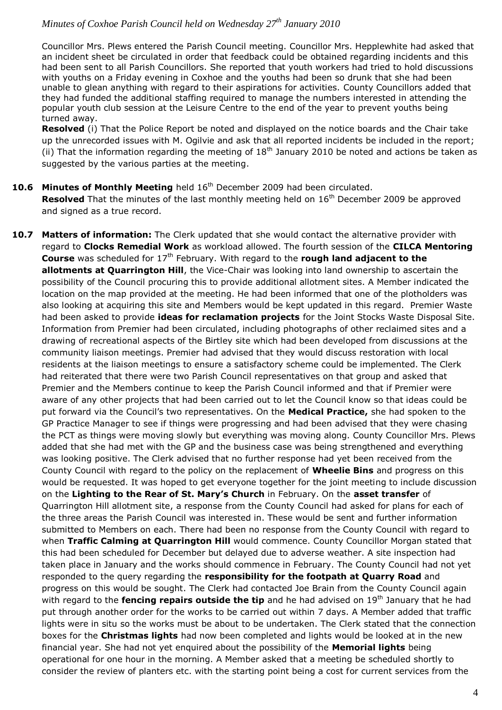Councillor Mrs. Plews entered the Parish Council meeting. Councillor Mrs. Hepplewhite had asked that an incident sheet be circulated in order that feedback could be obtained regarding incidents and this had been sent to all Parish Councillors. She reported that youth workers had tried to hold discussions with youths on a Friday evening in Coxhoe and the youths had been so drunk that she had been unable to glean anything with regard to their aspirations for activities. County Councillors added that they had funded the additional staffing required to manage the numbers interested in attending the popular youth club session at the Leisure Centre to the end of the year to prevent youths being turned away.

**Resolved** (i) That the Police Report be noted and displayed on the notice boards and the Chair take up the unrecorded issues with M. Ogilvie and ask that all reported incidents be included in the report; (ii) That the information regarding the meeting of  $18<sup>th</sup>$  January 2010 be noted and actions be taken as suggested by the various parties at the meeting.

#### **10.6 Minutes of Monthly Meeting** held 16<sup>th</sup> December 2009 had been circulated. **Resolved** That the minutes of the last monthly meeting held on 16<sup>th</sup> December 2009 be approved and signed as a true record.

**10.7 Matters of information:** The Clerk updated that she would contact the alternative provider with regard to **Clocks Remedial Work** as workload allowed. The fourth session of the **CILCA Mentoring Course** was scheduled for 17<sup>th</sup> February. With regard to the **rough land adjacent to the allotments at Quarrington Hill**, the Vice-Chair was looking into land ownership to ascertain the possibility of the Council procuring this to provide additional allotment sites. A Member indicated the location on the map provided at the meeting. He had been informed that one of the plotholders was also looking at acquiring this site and Members would be kept updated in this regard. Premier Waste had been asked to provide **ideas for reclamation projects** for the Joint Stocks Waste Disposal Site. Information from Premier had been circulated, including photographs of other reclaimed sites and a drawing of recreational aspects of the Birtley site which had been developed from discussions at the community liaison meetings. Premier had advised that they would discuss restoration with local residents at the liaison meetings to ensure a satisfactory scheme could be implemented. The Clerk had reiterated that there were two Parish Council representatives on that group and asked that Premier and the Members continue to keep the Parish Council informed and that if Premier were aware of any other projects that had been carried out to let the Council know so that ideas could be put forward via the Council's two representatives. On the **Medical Practice,** she had spoken to the GP Practice Manager to see if things were progressing and had been advised that they were chasing the PCT as things were moving slowly but everything was moving along. County Councillor Mrs. Plews added that she had met with the GP and the business case was being strengthened and everything was looking positive. The Clerk advised that no further response had yet been received from the County Council with regard to the policy on the replacement of **Wheelie Bins** and progress on this would be requested. It was hoped to get everyone together for the joint meeting to include discussion on the **Lighting to the Rear of St. Mary's Church** in February. On the **asset transfer** of Quarrington Hill allotment site, a response from the County Council had asked for plans for each of the three areas the Parish Council was interested in. These would be sent and further information submitted to Members on each. There had been no response from the County Council with regard to when **Traffic Calming at Quarrington Hill** would commence. County Councillor Morgan stated that this had been scheduled for December but delayed due to adverse weather. A site inspection had taken place in January and the works should commence in February. The County Council had not yet responded to the query regarding the **responsibility for the footpath at Quarry Road** and progress on this would be sought. The Clerk had contacted Joe Brain from the County Council again with regard to the **fencing repairs outside the tip** and he had advised on 19<sup>th</sup> January that he had put through another order for the works to be carried out within 7 days. A Member added that traffic lights were in situ so the works must be about to be undertaken. The Clerk stated that the connection boxes for the **Christmas lights** had now been completed and lights would be looked at in the new financial year. She had not yet enquired about the possibility of the **Memorial lights** being operational for one hour in the morning. A Member asked that a meeting be scheduled shortly to consider the review of planters etc. with the starting point being a cost for current services from the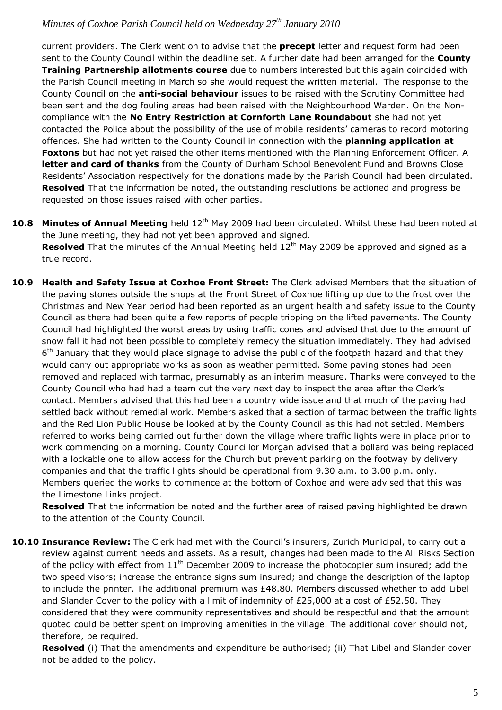current providers. The Clerk went on to advise that the **precept** letter and request form had been sent to the County Council within the deadline set. A further date had been arranged for the **County Training Partnership allotments course** due to numbers interested but this again coincided with the Parish Council meeting in March so she would request the written material. The response to the County Council on the **anti-social behaviour** issues to be raised with the Scrutiny Committee had been sent and the dog fouling areas had been raised with the Neighbourhood Warden. On the Noncompliance with the **No Entry Restriction at Cornforth Lane Roundabout** she had not yet contacted the Police about the possibility of the use of mobile residents' cameras to record motoring offences. She had written to the County Council in connection with the **planning application at Foxtons** but had not yet raised the other items mentioned with the Planning Enforcement Officer. A **letter and card of thanks** from the County of Durham School Benevolent Fund and Browns Close Residents' Association respectively for the donations made by the Parish Council had been circulated. **Resolved** That the information be noted, the outstanding resolutions be actioned and progress be requested on those issues raised with other parties.

- **10.8 Minutes of Annual Meeting** held 12<sup>th</sup> May 2009 had been circulated. Whilst these had been noted at the June meeting, they had not yet been approved and signed. **Resolved** That the minutes of the Annual Meeting held 12<sup>th</sup> May 2009 be approved and signed as a true record.
- **10.9 Health and Safety Issue at Coxhoe Front Street:** The Clerk advised Members that the situation of the paving stones outside the shops at the Front Street of Coxhoe lifting up due to the frost over the Christmas and New Year period had been reported as an urgent health and safety issue to the County Council as there had been quite a few reports of people tripping on the lifted pavements. The County Council had highlighted the worst areas by using traffic cones and advised that due to the amount of snow fall it had not been possible to completely remedy the situation immediately. They had advised 6<sup>th</sup> January that they would place signage to advise the public of the footpath hazard and that they would carry out appropriate works as soon as weather permitted. Some paving stones had been removed and replaced with tarmac, presumably as an interim measure. Thanks were conveyed to the County Council who had had a team out the very next day to inspect the area after the Clerk's contact. Members advised that this had been a country wide issue and that much of the paving had settled back without remedial work. Members asked that a section of tarmac between the traffic lights and the Red Lion Public House be looked at by the County Council as this had not settled. Members referred to works being carried out further down the village where traffic lights were in place prior to work commencing on a morning. County Councillor Morgan advised that a bollard was being replaced with a lockable one to allow access for the Church but prevent parking on the footway by delivery companies and that the traffic lights should be operational from 9.30 a.m. to 3.00 p.m. only. Members queried the works to commence at the bottom of Coxhoe and were advised that this was the Limestone Links project.

**Resolved** That the information be noted and the further area of raised paving highlighted be drawn to the attention of the County Council.

**10.10 Insurance Review:** The Clerk had met with the Council's insurers, Zurich Municipal, to carry out a review against current needs and assets. As a result, changes had been made to the All Risks Section of the policy with effect from  $11<sup>th</sup>$  December 2009 to increase the photocopier sum insured; add the two speed visors; increase the entrance signs sum insured; and change the description of the laptop to include the printer. The additional premium was £48.80. Members discussed whether to add Libel and Slander Cover to the policy with a limit of indemnity of £25,000 at a cost of £52.50. They considered that they were community representatives and should be respectful and that the amount quoted could be better spent on improving amenities in the village. The additional cover should not, therefore, be required.

**Resolved** (i) That the amendments and expenditure be authorised; (ii) That Libel and Slander cover not be added to the policy.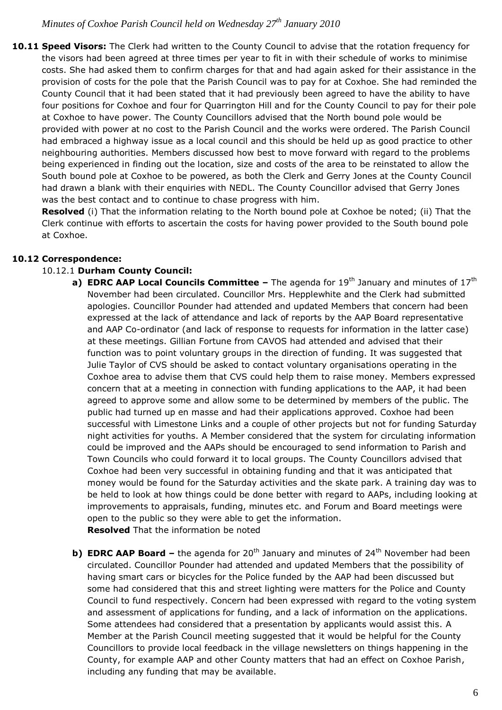10.11 Speed Visors: The Clerk had written to the County Council to advise that the rotation frequency for the visors had been agreed at three times per year to fit in with their schedule of works to minimise costs. She had asked them to confirm charges for that and had again asked for their assistance in the provision of costs for the pole that the Parish Council was to pay for at Coxhoe. She had reminded the County Council that it had been stated that it had previously been agreed to have the ability to have four positions for Coxhoe and four for Quarrington Hill and for the County Council to pay for their pole at Coxhoe to have power. The County Councillors advised that the North bound pole would be provided with power at no cost to the Parish Council and the works were ordered. The Parish Council had embraced a highway issue as a local council and this should be held up as good practice to other neighbouring authorities. Members discussed how best to move forward with regard to the problems being experienced in finding out the location, size and costs of the area to be reinstated to allow the South bound pole at Coxhoe to be powered, as both the Clerk and Gerry Jones at the County Council had drawn a blank with their enquiries with NEDL. The County Councillor advised that Gerry Jones was the best contact and to continue to chase progress with him.

**Resolved** (i) That the information relating to the North bound pole at Coxhoe be noted; (ii) That the Clerk continue with efforts to ascertain the costs for having power provided to the South bound pole at Coxhoe.

#### **10.12 Correspondence:**

#### 10.12.1 **Durham County Council:**

- **a) EDRC AAP Local Councils Committee –** The agenda for 19<sup>th</sup> January and minutes of 17<sup>th</sup> November had been circulated. Councillor Mrs. Hepplewhite and the Clerk had submitted apologies. Councillor Pounder had attended and updated Members that concern had been expressed at the lack of attendance and lack of reports by the AAP Board representative and AAP Co-ordinator (and lack of response to requests for information in the latter case) at these meetings. Gillian Fortune from CAVOS had attended and advised that their function was to point voluntary groups in the direction of funding. It was suggested that Julie Taylor of CVS should be asked to contact voluntary organisations operating in the Coxhoe area to advise them that CVS could help them to raise money. Members expressed concern that at a meeting in connection with funding applications to the AAP, it had been agreed to approve some and allow some to be determined by members of the public. The public had turned up en masse and had their applications approved. Coxhoe had been successful with Limestone Links and a couple of other projects but not for funding Saturday night activities for youths. A Member considered that the system for circulating information could be improved and the AAPs should be encouraged to send information to Parish and Town Councils who could forward it to local groups. The County Councillors advised that Coxhoe had been very successful in obtaining funding and that it was anticipated that money would be found for the Saturday activities and the skate park. A training day was to be held to look at how things could be done better with regard to AAPs, including looking at improvements to appraisals, funding, minutes etc. and Forum and Board meetings were open to the public so they were able to get the information. **Resolved** That the information be noted
- **b) <b>EDRC AAP Board** the agenda for 20<sup>th</sup> January and minutes of 24<sup>th</sup> November had been circulated. Councillor Pounder had attended and updated Members that the possibility of having smart cars or bicycles for the Police funded by the AAP had been discussed but some had considered that this and street lighting were matters for the Police and County Council to fund respectively. Concern had been expressed with regard to the voting system and assessment of applications for funding, and a lack of information on the applications. Some attendees had considered that a presentation by applicants would assist this. A Member at the Parish Council meeting suggested that it would be helpful for the County Councillors to provide local feedback in the village newsletters on things happening in the County, for example AAP and other County matters that had an effect on Coxhoe Parish, including any funding that may be available.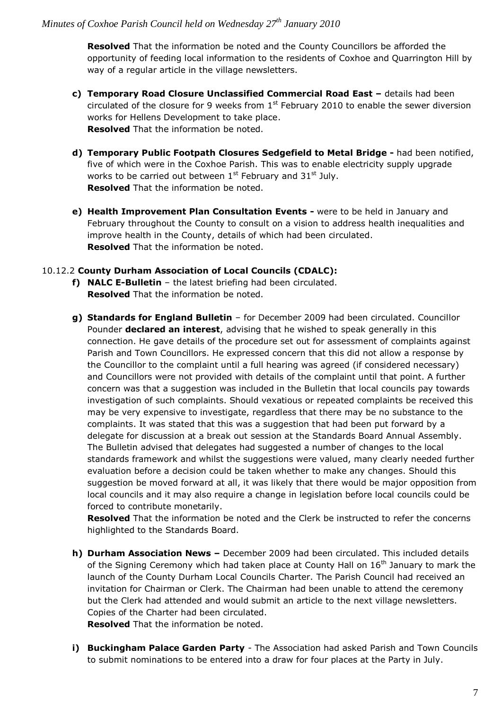**Resolved** That the information be noted and the County Councillors be afforded the opportunity of feeding local information to the residents of Coxhoe and Quarrington Hill by way of a regular article in the village newsletters.

- **c) Temporary Road Closure Unclassified Commercial Road East –** details had been circulated of the closure for 9 weeks from  $1<sup>st</sup>$  February 2010 to enable the sewer diversion works for Hellens Development to take place. **Resolved** That the information be noted.
- **d) Temporary Public Footpath Closures Sedgefield to Metal Bridge -** had been notified, five of which were in the Coxhoe Parish. This was to enable electricity supply upgrade works to be carried out between  $1<sup>st</sup>$  February and  $31<sup>st</sup>$  July. **Resolved** That the information be noted.
- **e) Health Improvement Plan Consultation Events -** were to be held in January and February throughout the County to consult on a vision to address health inequalities and improve health in the County, details of which had been circulated. **Resolved** That the information be noted.

#### 10.12.2 **County Durham Association of Local Councils (CDALC):**

- **f) NALC E-Bulletin**  the latest briefing had been circulated. **Resolved** That the information be noted.
- **g) Standards for England Bulletin** for December 2009 had been circulated. Councillor Pounder **declared an interest**, advising that he wished to speak generally in this connection. He gave details of the procedure set out for assessment of complaints against Parish and Town Councillors. He expressed concern that this did not allow a response by the Councillor to the complaint until a full hearing was agreed (if considered necessary) and Councillors were not provided with details of the complaint until that point. A further concern was that a suggestion was included in the Bulletin that local councils pay towards investigation of such complaints. Should vexatious or repeated complaints be received this may be very expensive to investigate, regardless that there may be no substance to the complaints. It was stated that this was a suggestion that had been put forward by a delegate for discussion at a break out session at the Standards Board Annual Assembly. The Bulletin advised that delegates had suggested a number of changes to the local standards framework and whilst the suggestions were valued, many clearly needed further evaluation before a decision could be taken whether to make any changes. Should this suggestion be moved forward at all, it was likely that there would be major opposition from local councils and it may also require a change in legislation before local councils could be forced to contribute monetarily.

**Resolved** That the information be noted and the Clerk be instructed to refer the concerns highlighted to the Standards Board.

- **h) Durham Association News –** December 2009 had been circulated. This included details of the Signing Ceremony which had taken place at County Hall on  $16<sup>th</sup>$  January to mark the launch of the County Durham Local Councils Charter. The Parish Council had received an invitation for Chairman or Clerk. The Chairman had been unable to attend the ceremony but the Clerk had attended and would submit an article to the next village newsletters. Copies of the Charter had been circulated. **Resolved** That the information be noted.
- **i) Buckingham Palace Garden Party** The Association had asked Parish and Town Councils to submit nominations to be entered into a draw for four places at the Party in July.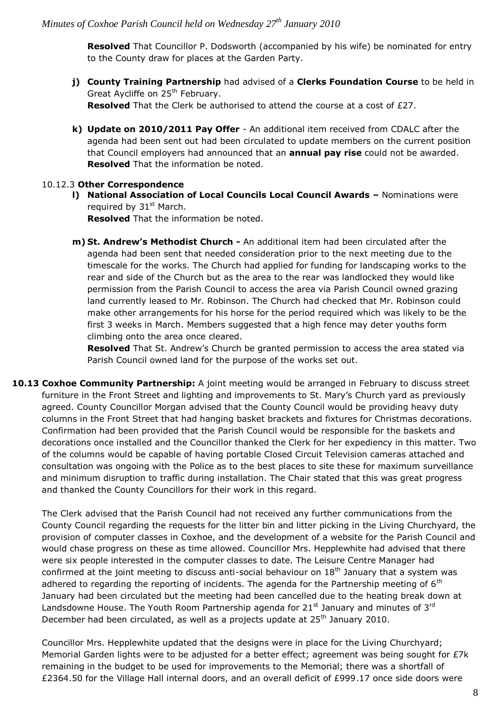**Resolved** That Councillor P. Dodsworth (accompanied by his wife) be nominated for entry to the County draw for places at the Garden Party.

- **j) County Training Partnership** had advised of a **Clerks Foundation Course** to be held in Great Aycliffe on 25<sup>th</sup> February. **Resolved** That the Clerk be authorised to attend the course at a cost of £27.
- **k) Update on 2010/2011 Pay Offer** An additional item received from CDALC after the agenda had been sent out had been circulated to update members on the current position that Council employers had announced that an **annual pay rise** could not be awarded. **Resolved** That the information be noted.

#### 10.12.3 **Other Correspondence**

**l) National Association of Local Councils Local Council Awards –** Nominations were required by  $31<sup>st</sup>$  March.

**Resolved** That the information be noted.

**m) St. Andrew's Methodist Church -** An additional item had been circulated after the agenda had been sent that needed consideration prior to the next meeting due to the timescale for the works. The Church had applied for funding for landscaping works to the rear and side of the Church but as the area to the rear was landlocked they would like permission from the Parish Council to access the area via Parish Council owned grazing land currently leased to Mr. Robinson. The Church had checked that Mr. Robinson could make other arrangements for his horse for the period required which was likely to be the first 3 weeks in March. Members suggested that a high fence may deter youths form climbing onto the area once cleared.

**Resolved** That St. Andrew's Church be granted permission to access the area stated via Parish Council owned land for the purpose of the works set out.

**10.13 Coxhoe Community Partnership:** A joint meeting would be arranged in February to discuss street furniture in the Front Street and lighting and improvements to St. Mary's Church yard as previously agreed. County Councillor Morgan advised that the County Council would be providing heavy duty columns in the Front Street that had hanging basket brackets and fixtures for Christmas decorations. Confirmation had been provided that the Parish Council would be responsible for the baskets and decorations once installed and the Councillor thanked the Clerk for her expediency in this matter. Two of the columns would be capable of having portable Closed Circuit Television cameras attached and consultation was ongoing with the Police as to the best places to site these for maximum surveillance and minimum disruption to traffic during installation. The Chair stated that this was great progress and thanked the County Councillors for their work in this regard.

The Clerk advised that the Parish Council had not received any further communications from the County Council regarding the requests for the litter bin and litter picking in the Living Churchyard, the provision of computer classes in Coxhoe, and the development of a website for the Parish Council and would chase progress on these as time allowed. Councillor Mrs. Hepplewhite had advised that there were six people interested in the computer classes to date. The Leisure Centre Manager had confirmed at the joint meeting to discuss anti-social behaviour on  $18<sup>th</sup>$  January that a system was adhered to regarding the reporting of incidents. The agenda for the Partnership meeting of  $6<sup>th</sup>$ January had been circulated but the meeting had been cancelled due to the heating break down at Landsdowne House. The Youth Room Partnership agenda for  $21<sup>st</sup>$  January and minutes of 3<sup>rd</sup> December had been circulated, as well as a projects update at 25<sup>th</sup> January 2010.

Councillor Mrs. Hepplewhite updated that the designs were in place for the Living Churchyard; Memorial Garden lights were to be adjusted for a better effect; agreement was being sought for £7k remaining in the budget to be used for improvements to the Memorial; there was a shortfall of £2364.50 for the Village Hall internal doors, and an overall deficit of £999.17 once side doors were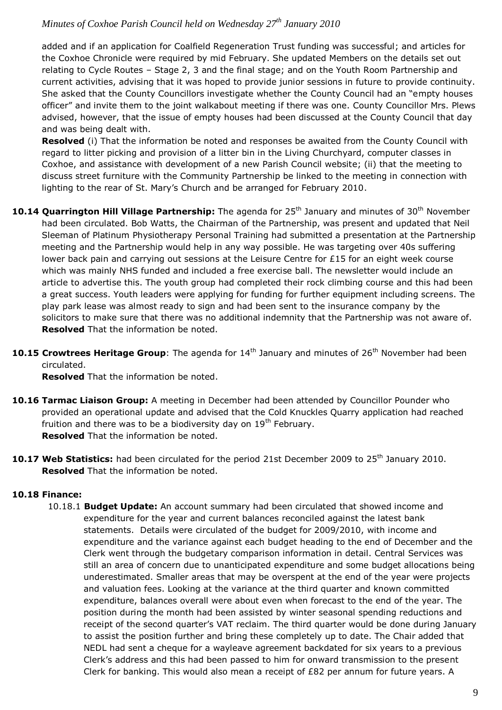added and if an application for Coalfield Regeneration Trust funding was successful; and articles for the Coxhoe Chronicle were required by mid February. She updated Members on the details set out relating to Cycle Routes – Stage 2, 3 and the final stage; and on the Youth Room Partnership and current activities, advising that it was hoped to provide junior sessions in future to provide continuity. She asked that the County Councillors investigate whether the County Council had an "empty houses officer" and invite them to the joint walkabout meeting if there was one. County Councillor Mrs. Plews advised, however, that the issue of empty houses had been discussed at the County Council that day and was being dealt with.

**Resolved** (i) That the information be noted and responses be awaited from the County Council with regard to litter picking and provision of a litter bin in the Living Churchyard, computer classes in Coxhoe, and assistance with development of a new Parish Council website; (ii) that the meeting to discuss street furniture with the Community Partnership be linked to the meeting in connection with lighting to the rear of St. Mary's Church and be arranged for February 2010.

- **10.14 Quarrington Hill Village Partnership:** The agenda for 25<sup>th</sup> January and minutes of 30<sup>th</sup> November had been circulated. Bob Watts, the Chairman of the Partnership, was present and updated that Neil Sleeman of Platinum Physiotherapy Personal Training had submitted a presentation at the Partnership meeting and the Partnership would help in any way possible. He was targeting over 40s suffering lower back pain and carrying out sessions at the Leisure Centre for  $£15$  for an eight week course which was mainly NHS funded and included a free exercise ball. The newsletter would include an article to advertise this. The youth group had completed their rock climbing course and this had been a great success. Youth leaders were applying for funding for further equipment including screens. The play park lease was almost ready to sign and had been sent to the insurance company by the solicitors to make sure that there was no additional indemnity that the Partnership was not aware of. **Resolved** That the information be noted.
- **10.15 Crowtrees Heritage Group**: The agenda for 14<sup>th</sup> January and minutes of 26<sup>th</sup> November had been circulated.

**Resolved** That the information be noted.

- **10.16 Tarmac Liaison Group:** A meeting in December had been attended by Councillor Pounder who provided an operational update and advised that the Cold Knuckles Quarry application had reached fruition and there was to be a biodiversity day on 19<sup>th</sup> February. **Resolved** That the information be noted.
- 10.17 Web Statistics: had been circulated for the period 21st December 2009 to 25<sup>th</sup> January 2010. **Resolved** That the information be noted.

# **10.18 Finance:**

10.18.1 **Budget Update:** An account summary had been circulated that showed income and expenditure for the year and current balances reconciled against the latest bank statements. Details were circulated of the budget for 2009/2010, with income and expenditure and the variance against each budget heading to the end of December and the Clerk went through the budgetary comparison information in detail. Central Services was still an area of concern due to unanticipated expenditure and some budget allocations being underestimated. Smaller areas that may be overspent at the end of the year were projects and valuation fees. Looking at the variance at the third quarter and known committed expenditure, balances overall were about even when forecast to the end of the year. The position during the month had been assisted by winter seasonal spending reductions and receipt of the second quarter's VAT reclaim. The third quarter would be done during January to assist the position further and bring these completely up to date. The Chair added that NEDL had sent a cheque for a wayleave agreement backdated for six years to a previous Clerk's address and this had been passed to him for onward transmission to the present Clerk for banking. This would also mean a receipt of  $E82$  per annum for future years. A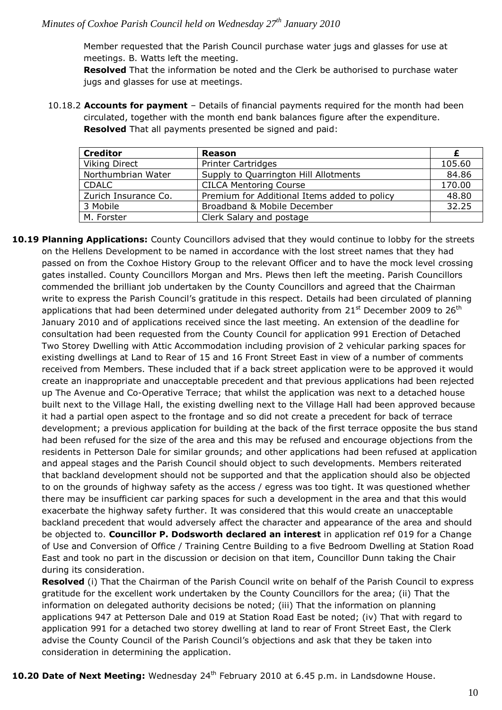Member requested that the Parish Council purchase water jugs and glasses for use at meetings. B. Watts left the meeting.

 **Resolved** That the information be noted and the Clerk be authorised to purchase water jugs and glasses for use at meetings.

10.18.2 **Accounts for payment** – Details of financial payments required for the month had been circulated, together with the month end bank balances figure after the expenditure. **Resolved** That all payments presented be signed and paid:

| <b>Creditor</b>      | Reason                                       |        |
|----------------------|----------------------------------------------|--------|
| <b>Viking Direct</b> | <b>Printer Cartridges</b>                    | 105.60 |
| Northumbrian Water   | Supply to Quarrington Hill Allotments        | 84.86  |
| <b>CDALC</b>         | <b>CILCA Mentoring Course</b>                | 170.00 |
| Zurich Insurance Co. | Premium for Additional Items added to policy | 48.80  |
| 3 Mobile             | Broadband & Mobile December                  | 32.25  |
| M. Forster           | Clerk Salary and postage                     |        |

**10.19 Planning Applications:** County Councillors advised that they would continue to lobby for the streets on the Hellens Development to be named in accordance with the lost street names that they had passed on from the Coxhoe History Group to the relevant Officer and to have the mock level crossing gates installed. County Councillors Morgan and Mrs. Plews then left the meeting. Parish Councillors commended the brilliant job undertaken by the County Councillors and agreed that the Chairman write to express the Parish Council's gratitude in this respect. Details had been circulated of planning applications that had been determined under delegated authority from  $21^{st}$  December 2009 to  $26^{th}$ January 2010 and of applications received since the last meeting. An extension of the deadline for consultation had been requested from the County Council for application 991 Erection of Detached Two Storey Dwelling with Attic Accommodation including provision of 2 vehicular parking spaces for existing dwellings at Land to Rear of 15 and 16 Front Street East in view of a number of comments received from Members. These included that if a back street application were to be approved it would create an inappropriate and unacceptable precedent and that previous applications had been rejected up The Avenue and Co-Operative Terrace; that whilst the application was next to a detached house built next to the Village Hall, the existing dwelling next to the Village Hall had been approved because it had a partial open aspect to the frontage and so did not create a precedent for back of terrace development; a previous application for building at the back of the first terrace opposite the bus stand had been refused for the size of the area and this may be refused and encourage objections from the residents in Petterson Dale for similar grounds; and other applications had been refused at application and appeal stages and the Parish Council should object to such developments. Members reiterated that backland development should not be supported and that the application should also be objected to on the grounds of highway safety as the access / egress was too tight. It was questioned whether there may be insufficient car parking spaces for such a development in the area and that this would exacerbate the highway safety further. It was considered that this would create an unacceptable backland precedent that would adversely affect the character and appearance of the area and should be objected to. **Councillor P. Dodsworth declared an interest** in application ref 019 for a Change of Use and Conversion of Office / Training Centre Building to a five Bedroom Dwelling at Station Road East and took no part in the discussion or decision on that item, Councillor Dunn taking the Chair during its consideration.

**Resolved** (i) That the Chairman of the Parish Council write on behalf of the Parish Council to express gratitude for the excellent work undertaken by the County Councillors for the area; (ii) That the information on delegated authority decisions be noted; (iii) That the information on planning applications 947 at Petterson Dale and 019 at Station Road East be noted; (iv) That with regard to application 991 for a detached two storey dwelling at land to rear of Front Street East, the Clerk advise the County Council of the Parish Council's objections and ask that they be taken into consideration in determining the application.